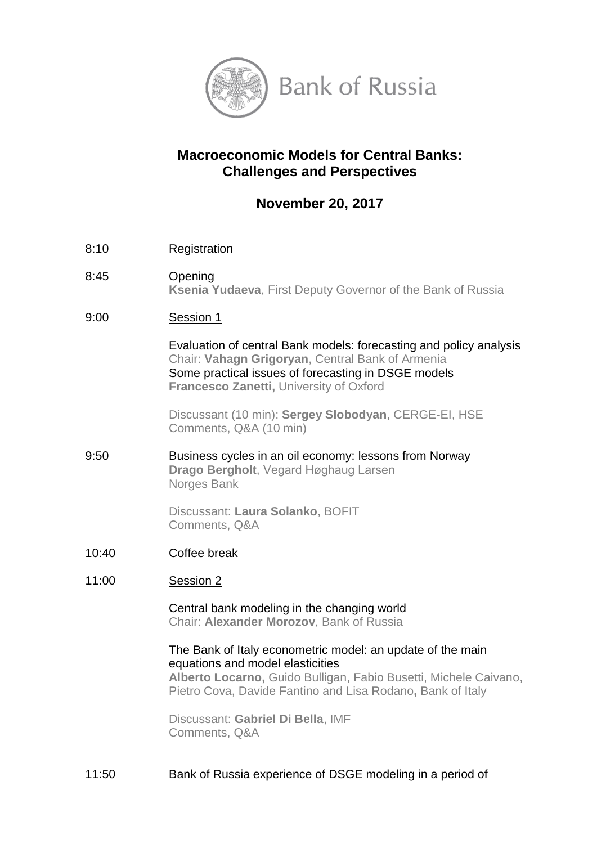

# **Macroeconomic Models for Central Banks: Challenges and Perspectives**

# **November 20, 2017**

- 8:10 Registration
- 8:45 Opening **Ksenia Yudaeva**, First Deputy Governor of the Bank of Russia
- 9:00 Session 1

Evaluation of central Bank models: forecasting and policy analysis Chair: **Vahagn Grigoryan**, Central Bank of Armenia Some practical issues of forecasting in DSGE models **Francesco Zanetti,** University of Oxford

Discussant (10 min): **Sergey Slobodyan**, CERGE-EI, HSE Comments, Q&A (10 min)

9:50 Business cycles in an oil economy: lessons from Norway **Drago Bergholt**, Vegard Høghaug Larsen Norges Bank

> Discussant: **Laura Solanko**, BOFIT Comments, Q&A

10:40 Coffee break

#### 11:00 Session 2

Central bank modeling in the changing world Chair: **Alexander Morozov**, Bank of Russia

The Bank of Italy econometric model: an update of the main equations and model elasticities **Alberto Locarno,** Guido Bulligan, Fabio Busetti, Michele Caivano, Pietro Cova, Davide Fantino and Lisa Rodano**,** Bank of Italy

Discussant: **Gabriel Di Bella**, IMF Comments, Q&A